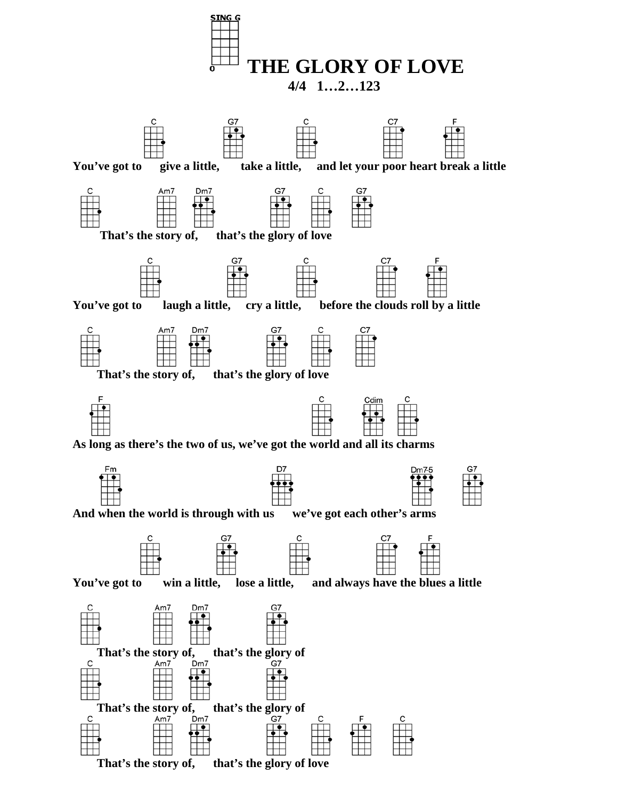